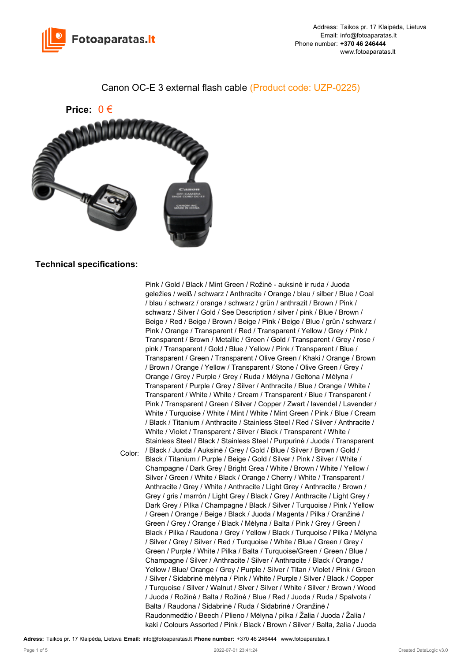

## Canon OC-E 3 external flash cable (Product code: UZP-0225)



## **Technical specifications:**

Color: Pink / Gold / Black / Mint Green / Rožinė - auksinė ir ruda / Juoda geležies / weiß / schwarz / Anthracite / Orange / blau / silber / Blue / Coal / blau / schwarz / orange / schwarz / grün / anthrazit / Brown / Pink / schwarz / Silver / Gold / See Description / silver / pink / Blue / Brown / Beige / Red / Beige / Brown / Beige / Pink / Beige / Blue / grün / schwarz / Pink / Orange / Transparent / Red / Transparent / Yellow / Grey / Pink / Transparent / Brown / Metallic / Green / Gold / Transparent / Grey / rose / pink / Transparent / Gold / Blue / Yellow / Pink / Transparent / Blue / Transparent / Green / Transparent / Olive Green / Khaki / Orange / Brown / Brown / Orange / Yellow / Transparent / Stone / Olive Green / Grey / Orange / Grey / Purple / Grey / Ruda / Mėlyna / Geltona / Mėlyna / Transparent / Purple / Grey / Silver / Anthracite / Blue / Orange / White / Transparent / White / White / Cream / Transparent / Blue / Transparent / Pink / Transparent / Green / Silver / Copper / Zwart / lavendel / Lavender / White / Turquoise / White / Mint / White / Mint Green / Pink / Blue / Cream / Black / Titanium / Anthracite / Stainless Steel / Red / Silver / Anthracite / White / Violet / Transparent / Silver / Black / Transparent / White / Stainless Steel / Black / Stainless Steel / Purpurinė / Juoda / Transparent / Black / Juoda / Auksinė / Grey / Gold / Blue / Silver / Brown / Gold / Black / Titanium / Purple / Beige / Gold / Silver / Pink / Silver / White / Champagne / Dark Grey / Bright Grea / White / Brown / White / Yellow / Silver / Green / White / Black / Orange / Cherry / White / Transparent / Anthracite / Grey / White / Anthracite / Light Grey / Anthracite / Brown / Grey / gris / marrón / Light Grey / Black / Grey / Anthracite / Light Grey / Dark Grey / Pilka / Champagne / Black / Silver / Turquoise / Pink / Yellow / Green / Orange / Beige / Black / Juoda / Magenta / Pilka / Oranžinė / Green / Grey / Orange / Black / Mėlyna / Balta / Pink / Grey / Green / Black / Pilka / Raudona / Grey / Yellow / Black / Turquoise / Pilka / Mėlyna / Silver / Grey / Silver / Red / Turquoise / White / Blue / Green / Grey / Green / Purple / White / Pilka / Balta / Turquoise/Green / Green / Blue / Champagne / Silver / Anthracite / Silver / Anthracite / Black / Orange / Yellow / Blue/ Orange / Grey / Purple / Silver / Titan / Violet / Pink / Green / Silver / Sidabrinė mėlyna / Pink / White / Purple / Silver / Black / Copper / Turquoise / Silver / Walnut / Slver / Silver / White / Silver / Brown / Wood / Juoda / Rožinė / Balta / Rožinė / Blue / Red / Juoda / Ruda / Spalvota / Balta / Raudona / Sidabrinė / Ruda / Sidabrinė / Oranžinė / Raudonmedžio / Beech / Plieno / Mėlyna / pilka / Žalia / Juoda / Žalia / kaki / Colours Assorted / Pink / Black / Brown / Silver / Balta, žalia / Juoda

**Adress:** Taikos pr. 17 Klaipėda, Lietuva **Email:** info@fotoaparatas.lt **Phone number:** +370 46 246444 www.fotoaparatas.lt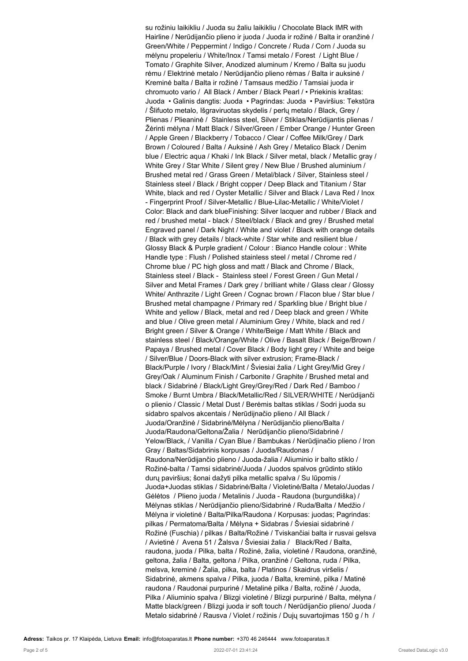su rožiniu laikikliu / Juoda su žaliu laikikliu / Chocolate Black IMR with Hairline / Nerūdijančio plieno ir juoda / Juoda ir rožinė / Balta ir oranžinė / Green/White / Peppermint / Indigo / Concrete / Ruda / Corn / Juoda su mėlynu propeleriu / White/Inox / Tamsi metalo / Forest / Light Blue / Tomato / Graphite Silver, Anodized aluminum / Kremo / Balta su juodu rėmu / Elektrinė metalo / Nerūdijančio plieno rėmas / Balta ir auksinė / Kreminė balta / Balta ir rožinė / Tamsaus medžio / Tamsiai juoda ir chromuoto vario / All Black / Amber / Black Pearl / • Priekinis kraštas: Juoda • Galinis dangtis: Juoda • Pagrindas: Juoda • Paviršius: Tekstūra / Šlifuoto metalo, Išgraviruotas skydelis / perlų metalo / Black, Grey / Plienas / Plieaninė / Stainless steel, Silver / Stiklas/Nerūdijantis plienas / Žėrinti mėlyna / Matt Black / Silver/Green / Ember Orange / Hunter Green / Apple Green / Blackberry / Tobacco / Clear / Coffee Milk/Grey / Dark Brown / Coloured / Balta / Auksinė / Ash Grey / Metalico Black / Denim blue / Electric aqua / Khaki / Ink Black / Silver metal, black / Metallic gray / White Grey / Star White / Silent grey / New Blue / Brushed aluminium / Brushed metal red / Grass Green / Metal/black / Silver, Stainless steel / Stainless steel / Black / Bright copper / Deep Black and Titanium / Star White, black and red / Oyster Metallic / Silver and Black / Lava Red / Inox - Fingerprint Proof / Silver-Metallic / Blue-Lilac-Metallic / White/Violet / Color: Black and dark blueFinishing: Silver lacquer and rubber / Black and red / brushed metal - black / Steel/black / Black and grey / Brushed metal Engraved panel / Dark Night / White and violet / Black with orange details / Black with grey details / black-white / Star white and resilient blue / Glossy Black & Purple gradient / Colour : Bianco Handle colour : White Handle type : Flush / Polished stainless steel / metal / Chrome red / Chrome blue / PC high gloss and matt / Black and Chrome / Black, Stainless steel / Black - Stainless steel / Forest Green / Gun Metal / Silver and Metal Frames / Dark grey / brilliant white / Glass clear / Glossy White/ Anthrazite / Light Green / Cognac brown / Flacon blue / Star blue / Brushed metal champagne / Primary red / Sparkling blue / Bright blue / White and yellow / Black, metal and red / Deep black and green / White and blue / Olive green metal / Aluminium Grey / White, black and red / Bright green / Silver & Orange / White/Beige / Matt White / Black and stainless steel / Black/Orange/White / Olive / Basalt Black / Beige/Brown / Papaya / Brushed metal / Cover Black / Body light grey / White and beige / Silver/Blue / Doors-Black with silver extrusion; Frame-Black / Black/Purple / Ivory / Black/Mint / Šviesiai žalia / Light Grey/Mid Grey / Grey/Oak / Aluminum Finish / Carbonite / Graphite / Brushed metal and black / Sidabrinė / Black/Light Grey/Grey/Red / Dark Red / Bamboo / Smoke / Burnt Umbra / Black/Metallic/Red / SILVER/WHITE / Nerūdijanči o plienio / Classic / Metal Dust / Berėmis baltas stiklas / Sodri juoda su sidabro spalvos akcentais / Nerūdijnačio plieno / All Black / Juoda/Oranžinė / Sidabrinė/Mėlyna / Nerūdijančio plieno/Balta / Juoda/Raudona/Geltona/Žalia / Nerūdijančio plieno/Sidabrinė / Yelow/Black, / Vanilla / Cyan Blue / Bambukas / Nerūdjinačio plieno / Iron Gray / Baltas/Sidabrinis korpusas / Juoda/Raudonas / Raudona/Nerūdijančio plieno / Juoda-žalia / Aliuminio ir balto stiklo / Rožinė-balta / Tamsi sidabrinė/Juoda / Juodos spalvos grūdinto stiklo durų paviršius; šonai dažyti pilka metallic spalva / Su lūpomis / Juoda+Juodas stiklas / Sidabrinė/Balta / Violetinė/Balta / Metalo/Juodas / Gėlėtos / Plieno juoda / Metalinis / Juoda - Raudona (burgundiška) / Mėlynas stiklas / Nerūdijančio plieno/Sidabrinė / Ruda/Balta / Medžio / Mėlyna ir violetinė / Balta/Pilka/Raudona / Korpusas: juodas; Pagrindas: pilkas / Permatoma/Balta / Mėlyna + Sidabras / Šviesiai sidabrinė / Rožinė (Fuschia) / pilkas / Balta/Rožinė / Tviskančiai balta ir rusvai gelsva / Avietinė / Avena 51 / Žalsva / Šviesiai žalia / Black/Red / Balta, raudona, juoda / Pilka, balta / Rožinė, žalia, violetinė / Raudona, oranžinė, geltona, žalia / Balta, geltona / Pilka, oranžinė / Geltona, ruda / Pilka, melsva, kreminė / Žalia, pilka, balta / Platinos / Skaidrus viršelis / Sidabrinė, akmens spalva / Pilka, juoda / Balta, kreminė, pilka / Matinė raudona / Raudonai purpurinė / Metalinė pilka / Balta, rožinė / Juoda, Pilka / Aliuminio spalva / Blizgi violetinė / Blizgi purpurinė / Balta, mėlyna / Matte black/green / Blizgi juoda ir soft touch / Nerūdijančio plieno/ Juoda / Metalo sidabrinė / Rausva / Violet / rožinis / Dujų suvartojimas 150 g / h /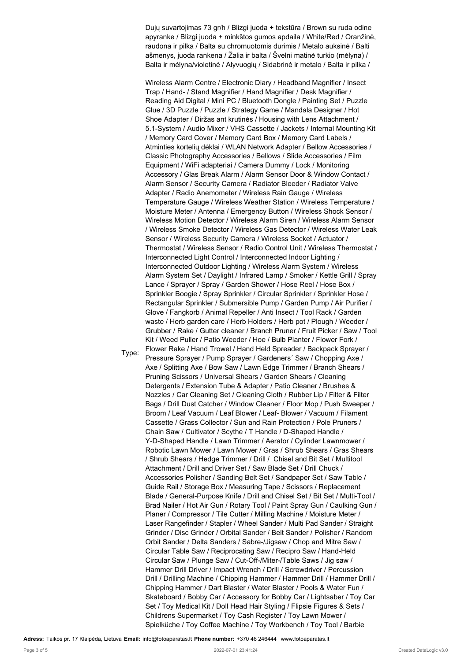Dujų suvartojimas 73 gr/h / Blizgi juoda + tekstūra / Brown su ruda odine apyranke / Blizgi juoda + minkštos gumos apdaila / White/Red / Oranžinė, raudona ir pilka / Balta su chromuotomis durimis / Metalo auksinė / Balti ašmenys, juoda rankena / Žalia ir balta / Švelni matinė turkio (mėlyna) / Balta ir mėlyna/violetinė / Alyvuogių / Sidabrinė ir metalo / Balta ir pilka /

Wireless Alarm Centre / Electronic Diary / Headband Magnifier / Insect Trap / Hand- / Stand Magnifier / Hand Magnifier / Desk Magnifier / Reading Aid Digital / Mini PC / Bluetooth Dongle / Painting Set / Puzzle Glue / 3D Puzzle / Puzzle / Strategy Game / Mandala Designer / Hot Shoe Adapter / Diržas ant krutinės / Housing with Lens Attachment / 5.1-System / Audio Mixer / VHS Cassette / Jackets / Internal Mounting Kit / Memory Card Cover / Memory Card Box / Memory Card Labels / Atminties kortelių dėklai / WLAN Network Adapter / Bellow Accessories / Classic Photography Accessories / Bellows / Slide Accessories / Film Equipment / WiFi adapteriai / Camera Dummy / Lock / Monitoring Accessory / Glas Break Alarm / Alarm Sensor Door & Window Contact / Alarm Sensor / Security Camera / Radiator Bleeder / Radiator Valve Adapter / Radio Anemometer / Wireless Rain Gauge / Wireless Temperature Gauge / Wireless Weather Station / Wireless Temperature / Moisture Meter / Antenna / Emergency Button / Wireless Shock Sensor / Wireless Motion Detector / Wireless Alarm Siren / Wireless Alarm Sensor / Wireless Smoke Detector / Wireless Gas Detector / Wireless Water Leak Sensor / Wireless Security Camera / Wireless Socket / Actuator / Thermostat / Wireless Sensor / Radio Control Unit / Wireless Thermostat / Interconnected Light Control / Interconnected Indoor Lighting / Interconnected Outdoor Lighting / Wireless Alarm System / Wireless Alarm System Set / Daylight / Infrared Lamp / Smoker / Kettle Grill / Spray Lance / Sprayer / Spray / Garden Shower / Hose Reel / Hose Box / Sprinkler Boogie / Spray Sprinkler / Circular Sprinkler / Sprinkler Hose / Rectangular Sprinkler / Submersible Pump / Garden Pump / Air Purifier / Glove / Fangkorb / Animal Repeller / Anti Insect / Tool Rack / Garden waste / Herb garden care / Herb Holders / Herb pot / Plough / Weeder / Grubber / Rake / Gutter cleaner / Branch Pruner / Fruit Picker / Saw / Tool Kit / Weed Puller / Patio Weeder / Hoe / Bulb Planter / Flower Fork / Flower Rake / Hand Trowel / Hand Held Spreader / Backpack Sprayer / Pressure Sprayer / Pump Sprayer / Gardeners' Saw / Chopping Axe / Axe / Splitting Axe / Bow Saw / Lawn Edge Trimmer / Branch Shears / Pruning Scissors / Universal Shears / Garden Shears / Cleaning Detergents / Extension Tube & Adapter / Patio Cleaner / Brushes & Nozzles / Car Cleaning Set / Cleaning Cloth / Rubber Lip / Filter & Filter Bags / Drill Dust Catcher / Window Cleaner / Floor Mop / Push Sweeper / Broom / Leaf Vacuum / Leaf Blower / Leaf- Blower / Vacuum / Filament Cassette / Grass Collector / Sun and Rain Protection / Pole Pruners / Chain Saw / Cultivator / Scythe / T Handle / D-Shaped Handle / Y-D-Shaped Handle / Lawn Trimmer / Aerator / Cylinder Lawnmower / Robotic Lawn Mower / Lawn Mower / Gras / Shrub Shears / Gras Shears / Shrub Shears / Hedge Trimmer / Drill / Chisel and Bit Set / Multitool Attachment / Drill and Driver Set / Saw Blade Set / Drill Chuck / Accessories Polisher / Sanding Belt Set / Sandpaper Set / Saw Table / Guide Rail / Storage Box / Measuring Tape / Scissors / Replacement Blade / General-Purpose Knife / Drill and Chisel Set / Bit Set / Multi-Tool / Brad Nailer / Hot Air Gun / Rotary Tool / Paint Spray Gun / Caulking Gun / Planer / Compressor / Tile Cutter / Milling Machine / Moisture Meter / Laser Rangefinder / Stapler / Wheel Sander / Multi Pad Sander / Straight Grinder / Disc Grinder / Orbital Sander / Belt Sander / Polisher / Random Orbit Sander / Delta Sanders / Sabre-/Jigsaw / Chop and Mitre Saw / Circular Table Saw / Reciprocating Saw / Recipro Saw / Hand-Held Circular Saw / Plunge Saw / Cut-Off-/Miter-/Table Saws / Jig saw / Hammer Drill Driver / Impact Wrench / Drill / Screwdriver / Percussion Drill / Drilling Machine / Chipping Hammer / Hammer Drill / Hammer Drill / Chipping Hammer / Dart Blaster / Water Blaster / Pools & Water Fun / Skateboard / Bobby Car / Accessory for Bobby Car / Lightsaber / Toy Car Set / Toy Medical Kit / Doll Head Hair Styling / Flipsie Figures & Sets / Childrens Supermarket / Toy Cash Register / Toy Lawn Mower / Spielküche / Toy Coffee Machine / Toy Workbench / Toy Tool / Barbie

**Adress:** Taikos pr. 17 Klaipėda, Lietuva **Email:** info@fotoaparatas.lt **Phone number:** +370 46 246444 www.fotoaparatas.lt

Type: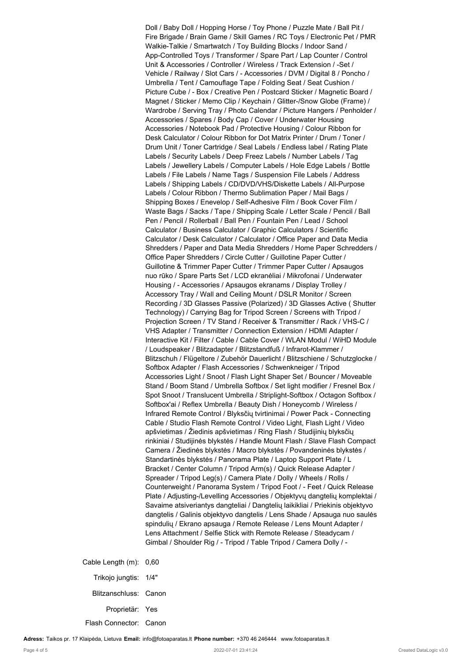Doll / Baby Doll / Hopping Horse / Toy Phone / Puzzle Mate / Ball Pit / Fire Brigade / Brain Game / Skill Games / RC Toys / Electronic Pet / PMR Walkie-Talkie / Smartwatch / Toy Building Blocks / Indoor Sand / App-Controlled Toys / Transformer / Spare Part / Lap Counter / Control Unit & Accessories / Controller / Wireless / Track Extension / -Set / Vehicle / Railway / Slot Cars / - Accessories / DVM / Digital 8 / Poncho / Umbrella / Tent / Camouflage Tape / Folding Seat / Seat Cushion / Picture Cube / - Box / Creative Pen / Postcard Sticker / Magnetic Board / Magnet / Sticker / Memo Clip / Keychain / Glitter-/Snow Globe (Frame) / Wardrobe / Serving Tray / Photo Calendar / Picture Hangers / Penholder / Accessories / Spares / Body Cap / Cover / Underwater Housing Accessories / Notebook Pad / Protective Housing / Colour Ribbon for Desk Calculator / Colour Ribbon for Dot Matrix Printer / Drum / Toner / Drum Unit / Toner Cartridge / Seal Labels / Endless label / Rating Plate Labels / Security Labels / Deep Freez Labels / Number Labels / Tag Labels / Jewellery Labels / Computer Labels / Hole Edge Labels / Bottle Labels / File Labels / Name Tags / Suspension File Labels / Address Labels / Shipping Labels / CD/DVD/VHS/Diskette Labels / All-Purpose Labels / Colour Ribbon / Thermo Sublimation Paper / Mail Bags / Shipping Boxes / Enevelop / Self-Adhesive Film / Book Cover Film / Waste Bags / Sacks / Tape / Shipping Scale / Letter Scale / Pencil / Ball Pen / Pencil / Rollerball / Ball Pen / Fountain Pen / Lead / School Calculator / Business Calculator / Graphic Calculators / Scientific Calculator / Desk Calculator / Calculator / Office Paper and Data Media Shredders / Paper and Data Media Shredders / Home Paper Schredders / Office Paper Shredders / Circle Cutter / Guillotine Paper Cutter / Guillotine & Trimmer Paper Cutter / Trimmer Paper Cutter / Apsaugos nuo rūko / Spare Parts Set / LCD ekranėliai / Mikrofonai / Underwater Housing / - Accessories / Apsaugos ekranams / Display Trolley / Accessory Tray / Wall and Ceiling Mount / DSLR Monitor / Screen Recording / 3D Glasses Passive (Polarized) / 3D Glasses Active ( Shutter Technology) / Carrying Bag for Tripod Screen / Screens with Tripod / Projection Screen / TV Stand / Receiver & Transmitter / Rack / VHS-C / VHS Adapter / Transmitter / Connection Extension / HDMI Adapter / Interactive Kit / Filter / Cable / Cable Cover / WLAN Modul / WiHD Module / Loudspeaker / Blitzadapter / Blitzstandfuß / Infrarot-Klammer / Blitzschuh / Flügeltore / Zubehör Dauerlicht / Blitzschiene / Schutzglocke / Softbox Adapter / Flash Accessories / Schwenkneiger / Tripod Accessories Light / Snoot / Flash Light Shaper Set / Bouncer / Moveable Stand / Boom Stand / Umbrella Softbox / Set light modifier / Fresnel Box / Spot Snoot / Translucent Umbrella / Striplight-Softbox / Octagon Softbox / Softbox'ai / Reflex Umbrella / Beauty Dish / Honeycomb / Wireless / Infrared Remote Control / Blyksčių tvirtinimai / Power Pack - Connecting Cable / Studio Flash Remote Control / Video Light, Flash Light / Video apšvietimas / Žiedinis apšvietimas / Ring Flash / Studijinių blyksčių rinkiniai / Studijinės blykstės / Handle Mount Flash / Slave Flash Compact Camera / Žiedinės blykstės / Macro blykstės / Povandeninės blykstės / Standartinės blykstės / Panorama Plate / Laptop Support Plate / L Bracket / Center Column / Tripod Arm(s) / Quick Release Adapter / Spreader / Tripod Leg(s) / Camera Plate / Dolly / Wheels / Rolls / Counterweight / Panorama System / Tripod Foot / - Feet / Quick Release Plate / Adjusting-/Levelling Accessories / Objektyvų dangtelių komplektai / Savaime atsiveriantys dangteliai / Dangtelių laikikliai / Priekinis objektyvo dangtelis / Galinis objektyvo dangtelis / Lens Shade / Apsauga nuo saulės spindulių / Ekrano apsauga / Remote Release / Lens Mount Adapter / Lens Attachment / Selfie Stick with Remote Release / Steadycam / Gimbal / Shoulder Rig / - Tripod / Table Tripod / Camera Dolly / -

Cable Length (m): 0,60 Trikojo jungtis: 1/4" Blitzanschluss: Canon Proprietär: Yes Flash Connector: Canon

**Adress:** Taikos pr. 17 Klaipėda, Lietuva **Email:** info@fotoaparatas.lt **Phone number:** +370 46 246444 www.fotoaparatas.lt